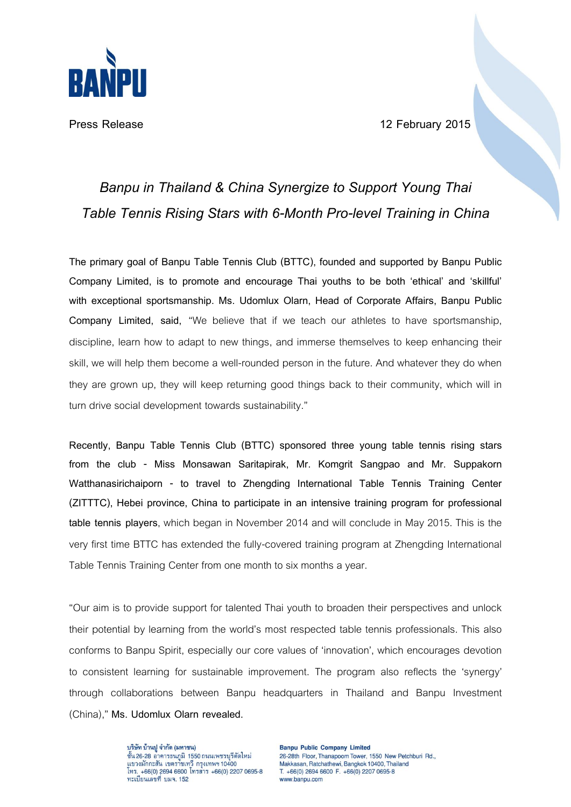

**Press Release 12 February 2015**

## *Banpu in Thailand & China Synergize to Support Young Thai Table Tennis Rising Stars with6-Month Pro-level Trainingin China*

**The primary goal of Banpu Table Tennis Club (BTTC), founded and supported by Banpu Public Company Limited, is to promote and encourage Thai youths to be both 'ethical' and 'skillful' with exceptional sportsmanship. Ms. Udomlux Olarn, Head of Corporate Affairs, Banpu Public Company Limited, said,** 'We believe that if we teach our athletes to have sportsmanship, discipline, learn how to adapt to new things, and immerse themselves to keep enhancing their skill, we will help them become a well-rounded person in the future. And whatever they do when they are grown up, they will keep returning good things back to their community, which will in turn drive social development towards sustainability."

**Recently, Banpu Table Tennis Club (BTTC) sponsored three young table tennis rising stars from the club - Miss Monsawan Saritapirak, Mr. Komgrit Sangpao and Mr. Suppakorn Watthanasirichaiporn - to travel to Zhengding International Table Tennis Training Center (ZITTTC), Hebei province, China to participate in an intensive training program for professional table tennis players**, which began in November 2014 and will conclude in May 2015. This is the very first time BTTC has extended the fully-covered training program at Zhengding International Table Tennis Training Center from one month to six months a year.

'Our aim is to provide support for talented Thai youth to broaden their perspectives and unlock their potential by learning from the world's most respected table tennis professionals. This also conforms to Banpu Spirit, especially our core values of 'innovation', which encourages devotion to consistent learning for sustainable improvement. The program also reflects the 'synergy' through collaborations between Banpu headquarters in Thailand and Banpu Investment (China),' **Ms. Udomlux Olarn revealed.**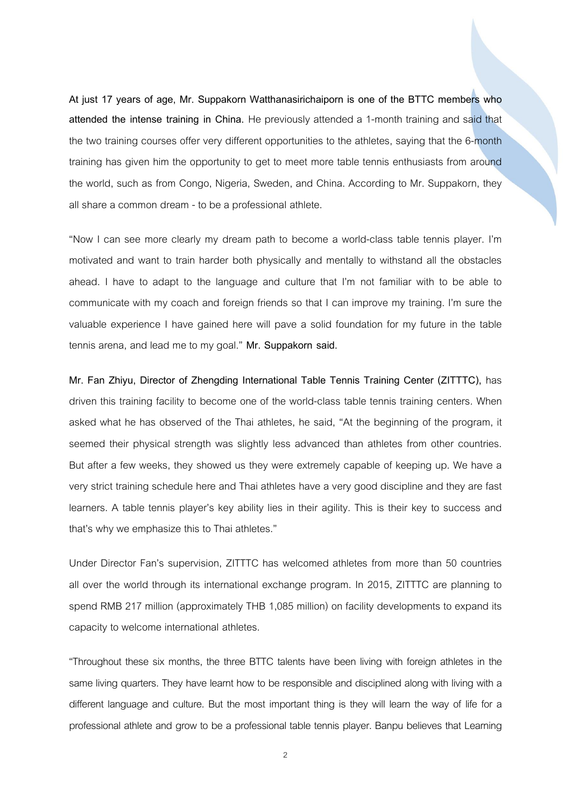**At just 17 years of age, Mr. Suppakorn Watthanasirichaiporn is one of the BTTC members who attended the intense training in China.** He previously attended a 1-month training and said that the two training courses offer very different opportunities to the athletes, saying that the 6-month training has given him the opportunity to get to meet more table tennis enthusiasts from around the world, such as from Congo, Nigeria, Sweden, and China. According to Mr. Suppakorn, they all share a common dream - to be a professional athlete.

'Now I can see more clearly my dream path to become a world-class table tennis player. I'm motivated and want to train harder both physically and mentally to withstand all the obstacles ahead. I have to adapt to the language and culture that I'm not familiar with to be able to communicate with my coach and foreign friends so that I can improve my training. I'm sure the valuable experience I have gained here will pave a solid foundation for my future in the table tennis arena, and lead me to my goal.' **Mr. Suppakorn said.**

**Mr. Fan Zhiyu, Director of Zhengding International Table Tennis Training Center (ZITTTC),** has driven this training facility to become one of the world-class table tennis training centers. When asked what he has observed of the Thai athletes, he said, "At the beginning of the program, it seemed their physical strength was slightly less advanced than athletes from other countries. But after a few weeks, they showed us they were extremely capable of keeping up. We have a very strict training schedule here and Thai athletes have a very good discipline and they are fast learners. A table tennis player's key ability lies in their agility. This is their key to success and that's why we emphasize this to Thai athletes.'

Under Director Fan's supervision, ZITTTC has welcomed athletes from more than 50 countries all over the world through its international exchange program. In 2015, ZITTTC are planning to spend RMB 217 million (approximately THB 1,085 million) on facility developments to expand its capacity to welcome international athletes.

'Throughout these six months, the three BTTC talents have been living with foreign athletes in the same living quarters. They have learnt how to be responsible and disciplined along with living with a different language and culture. But the most important thing is they will learn the way of life for a professional athlete and grow to be a professional table tennis player. Banpu believes that Learning

2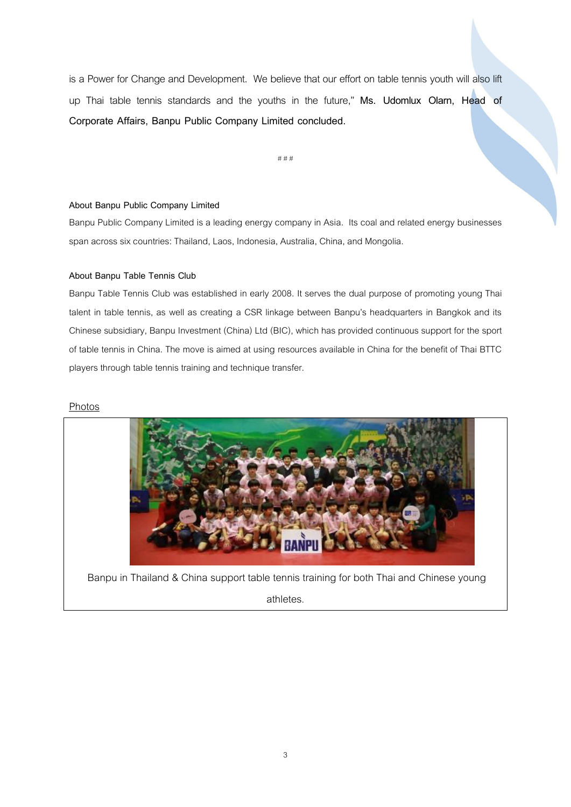is a Power for Change and Development. We believe that our effort on table tennis youth will also lift up Thai table tennis standards and the youths in the future,' **Ms. Udomlux Olarn, Head of Corporate Affairs, Banpu Public Company Limited concluded.** 

# # #

## **About Banpu Public Company Limited**

Banpu Public Company Limited is a leading energy company in Asia. Its coal and related energy businesses span across six countries: Thailand, Laos, Indonesia, Australia, China, and Mongolia.

## **About Banpu Table Tennis Club**

Banpu Table Tennis Club was established in early 2008. It serves the dual purpose of promoting young Thai talent in table tennis, as well as creating a CSR linkage between Banpu's headquarters in Bangkok and its Chinese subsidiary, Banpu Investment (China) Ltd (BIC), which has provided continuous support for the sport of table tennis in China. The move is aimed at using resources available in China for the benefit of Thai BTTC players through table tennis training and technique transfer.

## **Photos**



Banpu in Thailand & China support table tennis training for both Thai and Chinese young

athletes.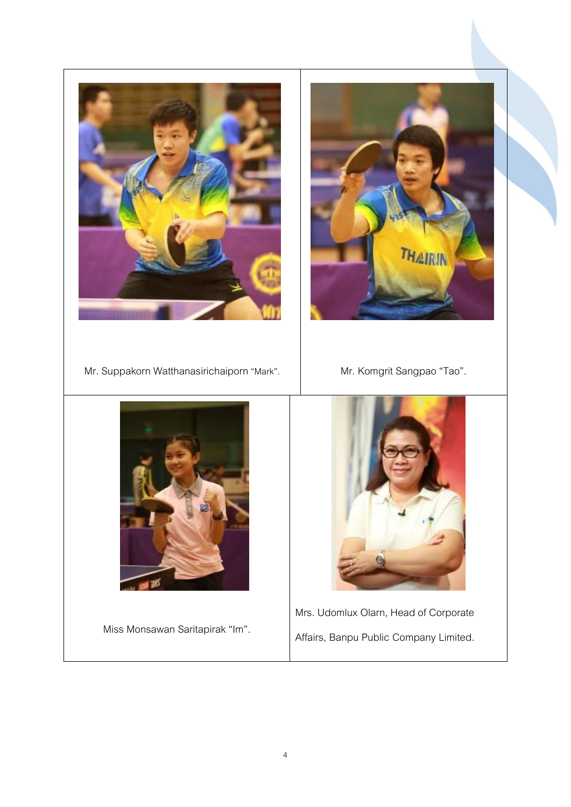



- Mr. Suppakorn Watthanasirichaiporn "Mark". Mr. Komgrit Sangpao "Tao".
	-



Miss Monsawan Saritapirak 'Im'.



Mrs. Udomlux Olarn, Head of Corporate Affairs, Banpu Public Company Limited.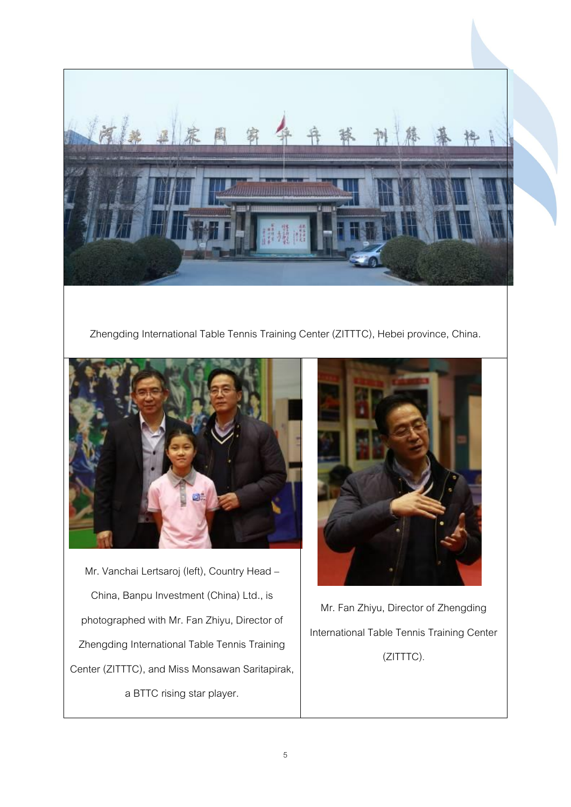

Zhengding International Table Tennis Training Center (ZITTTC), Hebei province, China.



Mr. Vanchai Lertsaroj (left), Country Head – China, Banpu Investment (China) Ltd., is photographed with Mr. Fan Zhiyu, Director of Zhengding International Table Tennis Training Center (ZITTTC), and Miss Monsawan Saritapirak, a BTTC rising star player.



Mr.Fan Zhiyu, Director of Zhengding International Table Tennis Training Center (ZITTTC).